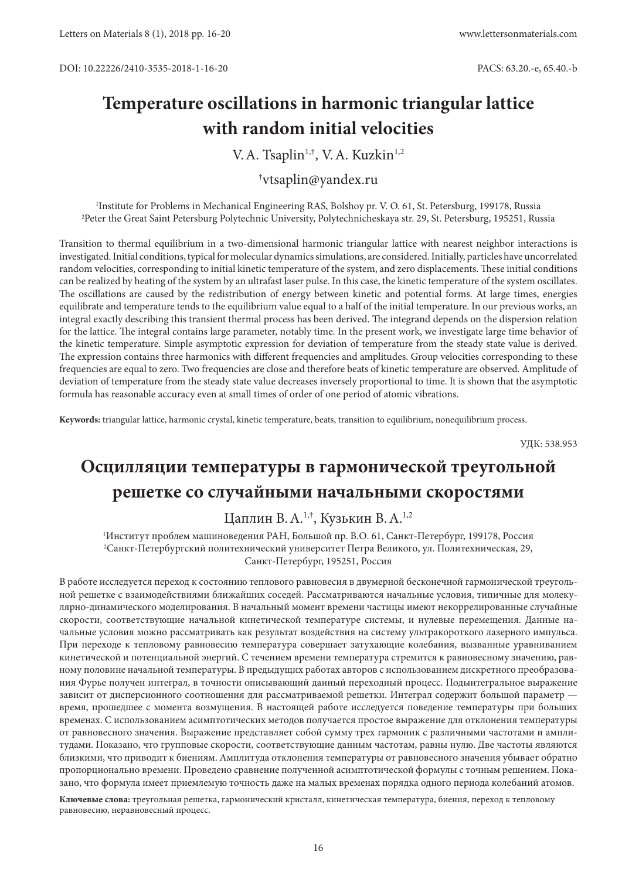# **Temperature oscillations in harmonic triangular lattice with random initial velocities**

V.A. Tsaplin<sup>1,†</sup>, V.A. Kuzkin<sup>1,2</sup>

## † vtsaplin@yandex.ru

1 Institute for Problems in Mechanical Engineering RAS, Bolshoy pr. V. O. 61, St. Petersburg, 199178, Russia 2 Peter the Great Saint Petersburg Polytechnic University, Polytechnicheskaya str. 29, St. Petersburg, 195251, Russia

Transition to thermal equilibrium in a two-dimensional harmonic triangular lattice with nearest neighbor interactions is investigated. Initial conditions, typical for molecular dynamics simulations, are considered. Initially, particles have uncorrelated random velocities, corresponding to initial kinetic temperature of the system, and zero displacements. These initial conditions can be realized by heating of the system by an ultrafast laser pulse. In this case, the kinetic temperature of the system oscillates. The oscillations are caused by the redistribution of energy between kinetic and potential forms. At large times, energies equilibrate and temperature tends to the equilibrium value equal to a half of the initial temperature. In our previous works, an integral exactly describing this transient thermal process has been derived. The integrand depends on the dispersion relation for the lattice. The integral contains large parameter, notably time. In the present work, we investigate large time behavior of the kinetic temperature. Simple asymptotic expression for deviation of temperature from the steady state value is derived. The expression contains three harmonics with different frequencies and amplitudes. Group velocities corresponding to these frequencies are equal to zero. Two frequencies are close and therefore beats of kinetic temperature are observed. Amplitude of deviation of temperature from the steady state value decreases inversely proportional to time. It is shown that the asymptotic formula has reasonable accuracy even at small times of order of one period of atomic vibrations.

**Keywords:** triangular lattice, harmonic crystal, kinetic temperature, beats, transition to equilibrium, nonequilibrium process.

УДК: 538.953

# **Осцилляции температуры в гармонической треугольной решетке со случайными начальными скоростями**

## Цаплин В.А.1,†, Кузькин В.А.1,2

1 Институт проблем машиноведения РАН, Большой пр. В.О. 61, Санкт-Петербург, 199178, Россия 2 Санкт-Петербургский политехнический университет Петра Великого, ул. Политехническая, 29, Санкт-Петербург, 195251, Россия

В работе исследуется переход к состоянию теплового равновесия в двумерной бесконечной гармонической треугольной решетке с взаимодействиями ближайших соседей. Рассматриваются начальные условия, типичные для молекулярно-динамического моделирования. В начальный момент времени частицы имеют некоррелированные случайные скорости, соответствующие начальной кинетической температуре системы, и нулевые перемещения. Данные начальные условия можно рассматривать как результат воздействия на систему ультракороткого лазерного импульса. При переходе к тепловому равновесию температура совершает затухающие колебания, вызванные уравниванием кинетической и потенциальной энергий. С течением времени температура стремится к равновесному значению, равному половине начальной температуры. В предыдущих работах авторов с использованием дискретного преобразования Фурье получен интеграл, в точности описывающий данный переходный процесс. Подынтегральное выражение зависит от дисперсионного соотношения для рассматриваемой решетки. Интеграл содержит большой параметр время, прошедшее с момента возмущения. В настоящей работе исследуется поведение температуры при больших временах. С использованием асимптотических методов получается простое выражение для отклонения температуры от равновесного значения. Выражение представляет собой сумму трех гармоник с различными частотами и амплитудами. Показано, что групповые скорости, соответствующие данным частотам, равны нулю. Две частоты являются близкими, что приводит к биениям. Амплитуда отклонения температуры от равновесного значения убывает обратно пропорционально времени. Проведено сравнение полученной асимптотической формулы с точным решением. Показано, что формула имеет приемлемую точность даже на малых временах порядка одного периода колебаний атомов.

**Ключевые слова:** треугольная решетка, гармонический кристалл, кинетическая температура, биения, переход к тепловому равновесию, неравновесный процесс.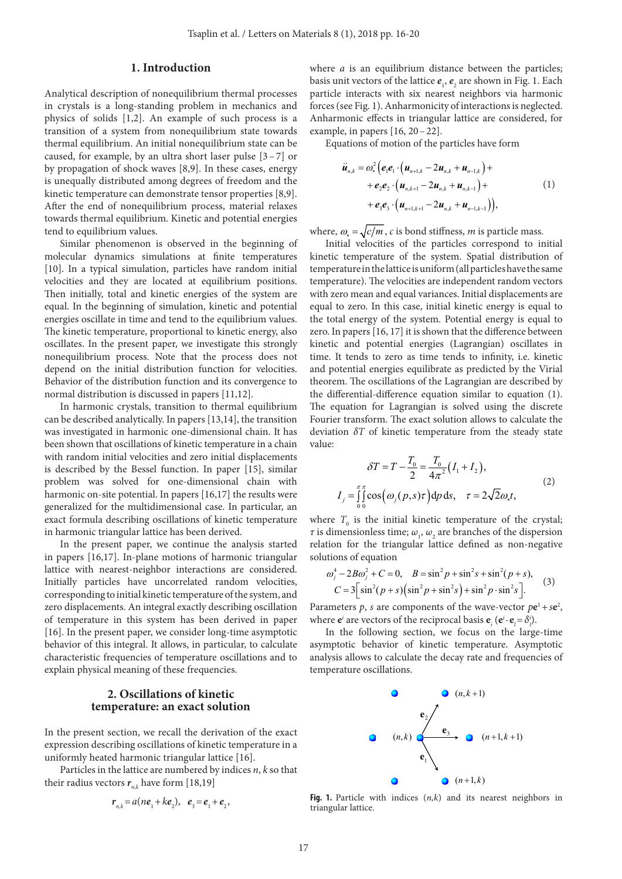### **1. Introduction**

Analytical description of nonequilibrium thermal processes in crystals is a long-standing problem in mechanics and physics of solids [1,2]. An example of such process is a transition of a system from nonequilibrium state towards thermal equilibrium. An initial nonequilibrium state can be caused, for example, by an ultra short laser pulse  $[3 - 7]$  or by propagation of shock waves [8,9]. In these cases, energy is unequally distributed among degrees of freedom and the kinetic temperature can demonstrate tensor properties [8,9]. After the end of nonequilibrium process, material relaxes towards thermal equilibrium. Kinetic and potential energies tend to equilibrium values.

Similar phenomenon is observed in the beginning of molecular dynamics simulations at finite temperatures [10]. In a typical simulation, particles have random initial velocities and they are located at equilibrium positions. Then initially, total and kinetic energies of the system are equal. In the beginning of simulation, kinetic and potential energies oscillate in time and tend to the equilibrium values. The kinetic temperature, proportional to kinetic energy, also oscillates. In the present paper, we investigate this strongly nonequilibrium process. Note that the process does not depend on the initial distribution function for velocities. Behavior of the distribution function and its convergence to normal distribution is discussed in papers [11,12].

In harmonic crystals, transition to thermal equilibrium can be described analytically. In papers [13,14], the transition was investigated in harmonic one-dimensional chain. It has been shown that oscillations of kinetic temperature in a chain with random initial velocities and zero initial displacements is described by the Bessel function. In paper [15], similar problem was solved for one-dimensional chain with harmonic on-site potential. In papers [16,17] the results were generalized for the multidimensional case. In particular, an exact formula describing oscillations of kinetic temperature in harmonic triangular lattice has been derived.

In the present paper, we continue the analysis started in papers [16,17]. In-plane motions of harmonic triangular lattice with nearest-neighbor interactions are considered. Initially particles have uncorrelated random velocities, corresponding to initial kinetic temperature of the system, and zero displacements. An integral exactly describing oscillation of temperature in this system has been derived in paper [16]. In the present paper, we consider long-time asymptotic behavior of this integral. It allows, in particular, to calculate characteristic frequencies of temperature oscillations and to explain physical meaning of these frequencies.

#### **2. Oscillations of kinetic temperature: an exact solution**

In the present section, we recall the derivation of the exact expression describing oscillations of kinetic temperature in a uniformly heated harmonic triangular lattice [16].

Particles in the lattice are numbered by indices *n*, *k* so that their radius vectors  $r_{n,k}$  have form [18,19]

$$
r_{n,k} = a(ne_1 + ke_2), e_3 = e_1 + e_2,
$$

where *a* is an equilibrium distance between the particles; basis unit vectors of the lattice  $e_1$ ,  $e_2$  are shown in Fig. 1. Each particle interacts with six nearest neighbors via harmonic forces (see Fig. 1). Anharmonicity of interactions is neglected. Anharmonic effects in triangular lattice are considered, for example, in papers [16, 20–22].

Equations of motion of the particles have form

$$
\ddot{u}_{n,k} = \omega_*^2 \Big( e_1 e_1 \cdot \Big( u_{n+1,k} - 2u_{n,k} + u_{n-1,k} \Big) +
$$
  
+  $e_2 e_2 \cdot \Big( u_{n,k+1} - 2u_{n,k} + u_{n,k-1} \Big) +$   
+  $e_3 e_3 \cdot \Big( u_{n+1,k+1} - 2u_{n,k} + u_{n-1,k-1} \Big) \Big),$  (1)

where,  $\omega_* = \sqrt{c/m}$ , *c* is bond stiffness, *m* is particle mass.

Initial velocities of the particles correspond to initial kinetic temperature of the system. Spatial distribution of temperature in the lattice is uniform (all particles have the same temperature). The velocities are independent random vectors with zero mean and equal variances. Initial displacements are equal to zero. In this case, initial kinetic energy is equal to the total energy of the system. Potential energy is equal to zero. In papers [16, 17] it is shown that the difference between kinetic and potential energies (Lagrangian) oscillates in time. It tends to zero as time tends to infinity, i.e. kinetic and potential energies equilibrate as predicted by the Virial theorem. The oscillations of the Lagrangian are described by the differential-difference equation similar to equation (1). The equation for Lagrangian is solved using the discrete Fourier transform. The exact solution allows to calculate the deviation *δT* of kinetic temperature from the steady state value:

$$
\delta T = T - \frac{T_0}{2} = \frac{T_0}{4\pi^2} (I_1 + I_2),
$$
  
\n
$$
I_j = \int_0^{\pi} \cos(\omega_j(p, s)\tau) dp ds, \quad \tau = 2\sqrt{2}\omega_* t,
$$
\n(2)

where  $T_0$  is the initial kinetic temperature of the crystal; *τ* is dimensionless time;  $\omega_1$ ,  $\omega_2$  are branches of the dispersion relation for the triangular lattice defined as non-negative solutions of equation

$$
\omega_j^4 - 2B\omega_j^2 + C = 0, \quad B = \sin^2 p + \sin^2 s + \sin^2 (p + s),
$$
  

$$
C = 3\Big[\sin^2 (p + s)\Big(\sin^2 p + \sin^2 s\Big) + \sin^2 p \cdot \sin^2 s\Big].
$$
 (3)

Parameters  $p$ , *s* are components of the wave-vector  $pe^1 + se^2$ , where  $\mathbf{e}^i$  are vectors of the reciprocal basis  $\mathbf{e}^i$  ( $\mathbf{e}^i \cdot \mathbf{e}^j = \delta^i$ *i*).

In the following section, we focus on the large-time asymptotic behavior of kinetic temperature. Asymptotic analysis allows to calculate the decay rate and frequencies of temperature oscillations.



**Fig. 1.** Particle with indices (*n,k*) and its nearest neighbors in triangular lattice.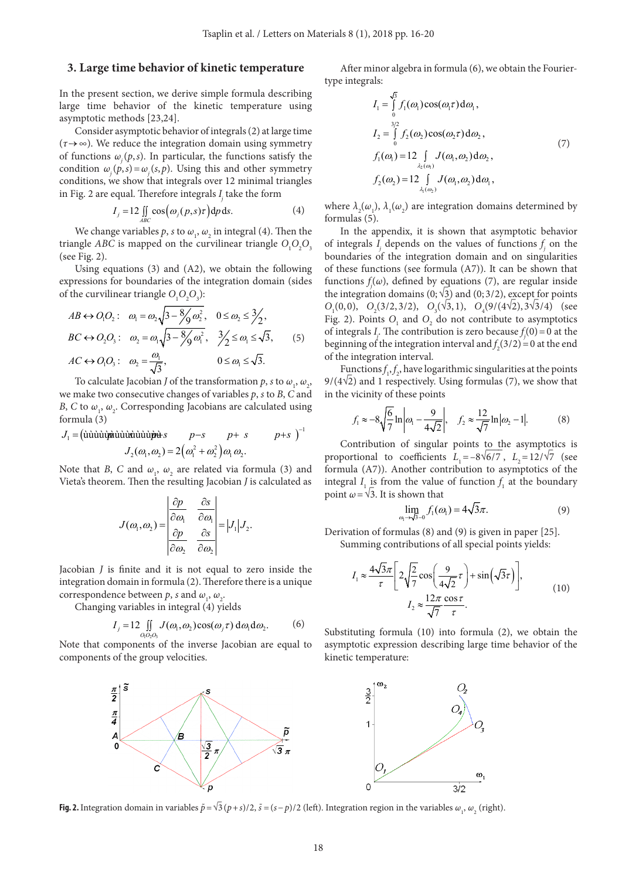#### 3. Large time behavior of kinetic temperature

In the present section, we derive simple formula describing large time behavior of the kinetic temperature using asymptotic methods [23,24].

Consider asymptotic behavior of integrals (2) at large time  $(\tau \rightarrow \infty)$ . We reduce the integration domain using symmetry of functions  $\omega_i(p,s)$ . In particular, the functions satisfy the condition  $\omega_{i}(p, s) = \omega_{i}(s, p)$ . Using this and other symmetry conditions, we show that integrals over 12 minimal triangles in Fig. 2 are equal. Therefore integrals  $I_i$  take the form

$$
I_j = 12 \iint\limits_{ABC} \cos(\omega_j(p,s)\tau) dp ds.
$$
 (4)

We change variables p, s to  $\omega_1$ ,  $\omega_2$  in integral (4). Then the triangle ABC is mapped on the curvilinear triangle  $O_1O_2O_3$ (see Fig. 2).

Using equations  $(3)$  and  $(A2)$ , we obtain the following expressions for boundaries of the integration domain (sides of the curvilinear triangle  $O_1O_2O_3$ :

$$
AB \leftrightarrow O_1O_2: \quad \omega_1 = \omega_2\sqrt{3 - \frac{8}{9}\omega_2^2}, \quad 0 \le \omega_2 \le \frac{3}{2},
$$
  

$$
BC \leftrightarrow O_2O_3: \quad \omega_2 = \omega_1\sqrt{3 - \frac{8}{9}\omega_1^2}, \quad \frac{3}{2} \le \omega_1 \le \sqrt{3}, \quad (5)
$$
  

$$
AC \leftrightarrow O_1O: \quad \omega_1 = \frac{\omega_1}{2} \qquad 0 \le \omega_1 \le \sqrt{3}
$$

 $AC \leftrightarrow O_1O_3$ :  $\omega_2 = \frac{1}{\sqrt{3}}$ To calculate Jacobian *J* of the transformation *p*, *s* to  $\omega_1$ ,  $\omega_2$ ,

we make two consecutive changes of variables  $p$ , s to B, C and B, C to  $\omega_1$ ,  $\omega_2$ . Corresponding Jacobians are calculated using formula (3)

Note that B, C and  $\omega_1$ ,  $\omega_2$  are related via formula (3) and Vieta's theorem. Then the resulting Jacobian J is calculated as

$$
J(\omega_1, \omega_2) = \begin{vmatrix} \frac{\partial p}{\partial \omega_1} & \frac{\partial s}{\partial \omega_1} \\ \frac{\partial p}{\partial \omega_2} & \frac{\partial s}{\partial \omega_2} \end{vmatrix} = |J_1| J_2.
$$

Jacobian  $J$  is finite and it is not equal to zero inside the integration domain in formula (2). Therefore there is a unique correspondence between p, s and  $\omega_1$ ,  $\omega_2$ .

Changing variables in integral (4) yields

$$
I_j = 12 \iint\limits_{Q_1 Q_2 Q_3} J(\omega_1, \omega_2) \cos(\omega_j \tau) d\omega_1 d\omega_2.
$$
 (6)

Note that components of the inverse Jacobian are equal to components of the group velocities.



After minor algebra in formula (6), we obtain the Fouriertype integrals:

$$
I_{1} = \int_{0}^{\sqrt{3}} f_{1}(\omega_{1}) \cos(\omega_{1} \tau) d\omega_{1},
$$
  
\n
$$
I_{2} = \int_{0}^{3/2} f_{2}(\omega_{2}) \cos(\omega_{2} \tau) d\omega_{2},
$$
  
\n
$$
f_{1}(\omega_{1}) = 12 \int_{\lambda_{2}(\omega_{1})} J(\omega_{1}, \omega_{2}) d\omega_{2},
$$
  
\n
$$
f_{2}(\omega_{2}) = 12 \int_{\lambda_{1}(\omega_{2})} J(\omega_{1}, \omega_{2}) d\omega_{1},
$$
\n(7)

where  $\lambda_2(\omega_1)$ ,  $\lambda_1(\omega_2)$  are integration domains determined by formulas (5).

In the appendix, it is shown that asymptotic behavior of integrals  $I_i$  depends on the values of functions  $f_i$  on the boundaries of the integration domain and on singularities of these functions (see formula  $(A7)$ ). It can be shown that functions  $f(x)$ , defined by equations (7), are regular inside the integration domains (0;  $\sqrt{3}$ ) and (0; 3/2), except for points  $O_1(0,0)$ ,  $O_2(3/2,3/2)$ ,  $O_3(\sqrt{3},1)$ ,  $O_4(9/(4\sqrt{2}),3\sqrt{3}/4)$  (see Fig. 2). Points  $O_1$  and  $O_2$  do not contribute to asymptotics of integrals *I<sub>i</sub>*. The contribution is zero because  $f_i(0) = 0$  at the beginning of the integration interval and  $f_2(3/2) = 0$  at the end of the integration interval.

Functions  $f_1, f_2$ , have logarithmic singularities at the points  $9/(4\sqrt{2})$  and 1 respectively. Using formulas (7), we show that in the vicinity of these points

$$
f_1 \approx -8\sqrt{\frac{6}{7}} \ln |\omega_1 - \frac{9}{4\sqrt{2}}|, \quad f_2 \approx \frac{12}{\sqrt{7}} \ln |\omega_2 - 1|.
$$
 (8)

Contribution of singular points to the asymptotics is proportional to coefficients  $L_1 = -8\sqrt{6}/7$ ,  $L_2 = 12/\sqrt{7}$  (see formula (A7)). Another contribution to asymptotics of the integral  $I_1$  is from the value of function  $f_1$  at the boundary point  $\omega = \sqrt{3}$ . It is shown that

$$
\lim_{\omega_1 \to \sqrt{3}-0} f_1(\omega_1) = 4\sqrt{3}\pi. \tag{9}
$$

Derivation of formulas  $(8)$  and  $(9)$  is given in paper  $[25]$ . Summing contributions of all special points yields:

$$
I_1 \approx \frac{4\sqrt{3}\pi}{\tau} \left[ 2\sqrt{\frac{2}{7}} \cos\left(\frac{9}{4\sqrt{2}}\tau\right) + \sin\left(\sqrt{3}\tau\right) \right],
$$
  

$$
I_2 \approx \frac{12\pi}{\sqrt{7}} \frac{\cos\tau}{\tau}.
$$
 (10)

Substituting formula (10) into formula (2), we obtain the asymptotic expression describing large time behavior of the kinetic temperature:



**Fig. 2.** Integration domain in variables  $\tilde{p} = \sqrt{3} (p+s)/2$ ,  $\tilde{s} = (s-p)/2$  (left). Integration region in the variables  $\omega$ ,  $\omega$ , (right).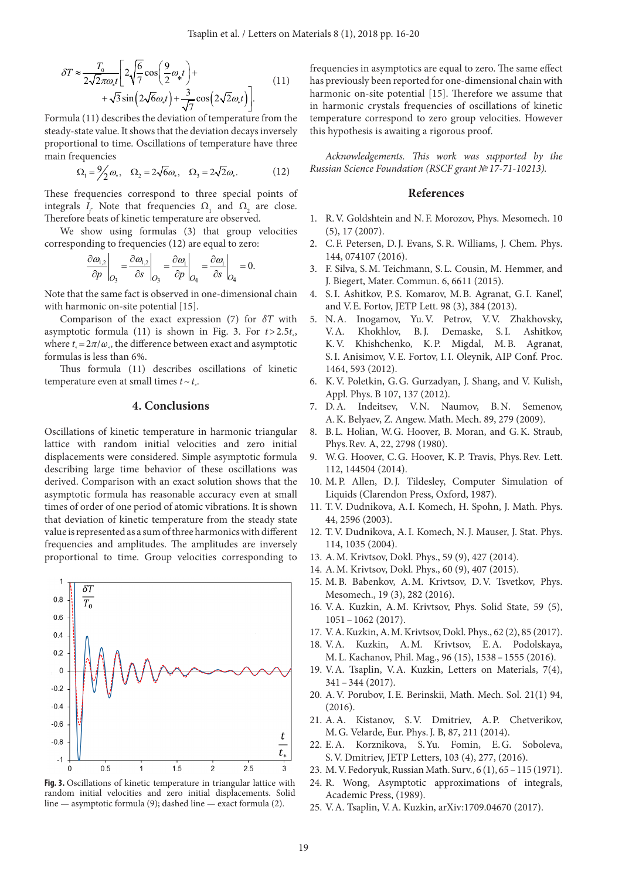$$
\delta T \approx \frac{T_0}{2\sqrt{2\pi\omega_s t}} \left[ 2\sqrt{\frac{6}{7}} \cos\left(\frac{9}{2}\omega_s t\right) + \frac{3}{\sqrt{7}} \cos\left(2\sqrt{2}\omega_s t\right) + \frac{3}{\sqrt{7}} \cos\left(2\sqrt{2}\omega_s t\right) \right].
$$
\n(11)

Formula (11) describes the deviation of temperature from the steady-state value. It shows that the deviation decays inversely proportional to time. Oscillations of temperature have three main frequencies

$$
\Omega_1 = \frac{9}{2}\omega_*, \quad \Omega_2 = 2\sqrt{6}\omega_*, \quad \Omega_3 = 2\sqrt{2}\omega_*.\tag{12}
$$

These frequencies correspond to three special points of integrals *I<sub>j</sub>*. Note that frequencies  $Ω_1$  and  $Ω_2$  are close. Therefore beats of kinetic temperature are observed.

We show using formulas (3) that group velocities corresponding to frequencies (12) are equal to zero:

$$
\left.\frac{\partial \omega_{1,2}}{\partial p}\right|_{O_3} = \left.\frac{\partial \omega_{1,2}}{\partial s}\right|_{O_3} = \left.\frac{\partial \omega_1}{\partial p}\right|_{O_4} = \left.\frac{\partial \omega_1}{\partial s}\right|_{O_4} = 0.
$$

Note that the same fact is observed in one-dimensional chain with harmonic on-site potential [15].

Comparison of the exact expression (7) for *δT* with asymptotic formula (11) is shown in Fig. 3. For *t*>2.5*t* \* , where  $t_* = 2\pi/\omega_*$ , the difference between exact and asymptotic formulas is less than 6%.

Thus formula (11) describes oscillations of kinetic temperature even at small times  $t \sim t$ .

### **4. Conclusions**

Oscillations of kinetic temperature in harmonic triangular lattice with random initial velocities and zero initial displacements were considered. Simple asymptotic formula describing large time behavior of these oscillations was derived. Comparison with an exact solution shows that the asymptotic formula has reasonable accuracy even at small times of order of one period of atomic vibrations. It is shown that deviation of kinetic temperature from the steady state value is represented as a sum of three harmonics with different frequencies and amplitudes. The amplitudes are inversely proportional to time. Group velocities corresponding to



**Fig. 3.** Oscillations of kinetic temperature in triangular lattice with random initial velocities and zero initial displacements. Solid line — asymptotic formula (9); dashed line — exact formula (2).

frequencies in asymptotics are equal to zero. The same effect has previously been reported for one-dimensional chain with harmonic on-site potential [15]. Therefore we assume that in harmonic crystals frequencies of oscillations of kinetic temperature correspond to zero group velocities. However this hypothesis is awaiting a rigorous proof.

*Acknowledgements. This work was supported by the Russian Science Foundation (RSCF grant №17‑71‑10213).*

#### **References**

- 1. R.V. Goldshtein and N.F. Morozov, Phys. Mesomech. 10 (5), 17 (2007).
- 2. C.F. Petersen, D.J. Evans, S.R. Williams, J. Chem. Phys. 144, 074107 (2016).
- 3. F. Silva, S.M. Teichmann, S.L. Cousin, M. Hemmer, and J. Biegert, Mater. Commun. 6, 6611 (2015).
- 4. S.I. Ashitkov, P.S. Komarov, M.B. Agranat, G.I. Kanel', and V.E. Fortov, JETP Lett. 98 (3), 384 (2013).
- 5. N.A. Inogamov, Yu.V. Petrov, V.V. Zhakhovsky, V.A. Khokhlov, B.J. Demaske, S.I. Ashitkov, K.V. Khishchenko, K.P. Migdal, M.B. Agranat, S.I. Anisimov, V.E. Fortov, I.I. Oleynik, AIP Conf. Proc. 1464, 593 (2012).
- 6. K.V. Poletkin, G.G. Gurzadyan, J. Shang, and V. Kulish, Appl. Phys. B 107, 137 (2012).
- 7. D.A. Indeitsev, V.N. Naumov, B.N. Semenov, A.K. Belyaev, Z. Angew. Math. Mech. 89, 279 (2009).
- 8. B.L. Holian, W.G. Hoover, B. Moran, and G.K. Straub, Phys.Rev. A, 22, 2798 (1980).
- W.G. Hoover, C.G. Hoover, K.P. Travis, Phys.Rev. Lett. 112, 144504 (2014).
- 10. M.P. Allen, D.J. Tildesley, Computer Simulation of Liquids (Clarendon Press, Oxford, 1987).
- 11. T.V. Dudnikova, A.I. Komech, H. Spohn, J. Math. Phys. 44, 2596 (2003).
- 12. T.V. Dudnikova, A.I. Komech, N.J. Mauser, J. Stat. Phys. 114, 1035 (2004).
- 13. A.M. Krivtsov, Dokl. Phys., 59 (9), 427 (2014).
- 14. A.M. Krivtsov, Dokl. Phys., 60 (9), 407 (2015).
- 15. M.B. Babenkov, A.M. Krivtsov, D.V. Tsvetkov, Phys. Mesomech., 19 (3), 282 (2016).
- 16. V.A. Kuzkin, A.M. Krivtsov, Phys. Solid State, 59 (5), 1051–1062 (2017).
- 17. V.A. Kuzkin, A.M. Krivtsov, Dokl. Phys., 62 (2), 85 (2017).
- 18. V.A. Kuzkin, A.M. Krivtsov, E.A. Podolskaya, M.L. Kachanov, Phil. Mag., 96 (15), 1538–1555 (2016).
- 19. V.A. Tsaplin, V.A. Kuzkin, Letters on Materials, 7(4), 341–344 (2017).
- 20. A.V. Porubov, I.E. Berinskii, Math. Mech. Sol. 21(1) 94, (2016).
- 21. A.A. Kistanov, S.V. Dmitriev, A.P. Chetverikov, M.G. Velarde, Eur. Phys.J. B, 87, 211 (2014).
- 22. E.A. Korznikova, S.Yu. Fomin, E.G. Soboleva, S.V. Dmitriev, JETP Letters, 103 (4), 277, (2016).
- 23. M.V. Fedoryuk, Russian Math. Surv., 6 (1), 65–115 (1971).
- 24. R. Wong, Asymptotic approximations of integrals, Academic Press, (1989).
- 25. V.A. Tsaplin, V.A. Kuzkin, arXiv:1709.04670 (2017).